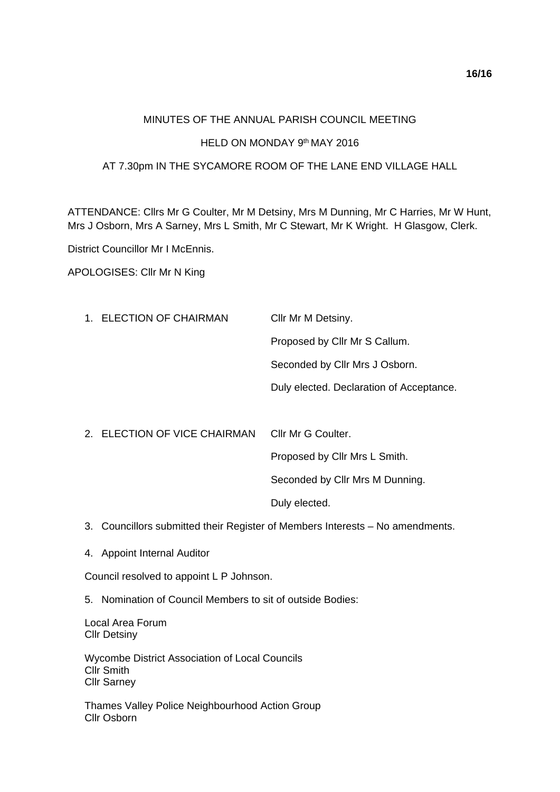## MINUTES OF THE ANNUAL PARISH COUNCIL MEETING

## HELD ON MONDAY 9th MAY 2016

## AT 7.30pm IN THE SYCAMORE ROOM OF THE LANE END VILLAGE HALL

ATTENDANCE: Cllrs Mr G Coulter, Mr M Detsiny, Mrs M Dunning, Mr C Harries, Mr W Hunt, Mrs J Osborn, Mrs A Sarney, Mrs L Smith, Mr C Stewart, Mr K Wright. H Glasgow, Clerk.

District Councillor Mr I McEnnis.

APOLOGISES: Cllr Mr N King

1. ELECTION OF CHAIRMAN Cllr Mr M Detsiny.

Proposed by Cllr Mr S Callum.

Seconded by Cllr Mrs J Osborn.

Duly elected. Declaration of Acceptance.

2. ELECTION OF VICE CHAIRMAN Cllr Mr G Coulter.

Proposed by Cllr Mrs L Smith.

Seconded by Cllr Mrs M Dunning.

Duly elected.

- 3. Councillors submitted their Register of Members Interests No amendments.
- 4. Appoint Internal Auditor

Council resolved to appoint L P Johnson.

5. Nomination of Council Members to sit of outside Bodies:

Local Area Forum Cllr Detsiny

Wycombe District Association of Local Councils Cllr Smith Cllr Sarney

Thames Valley Police Neighbourhood Action Group Cllr Osborn